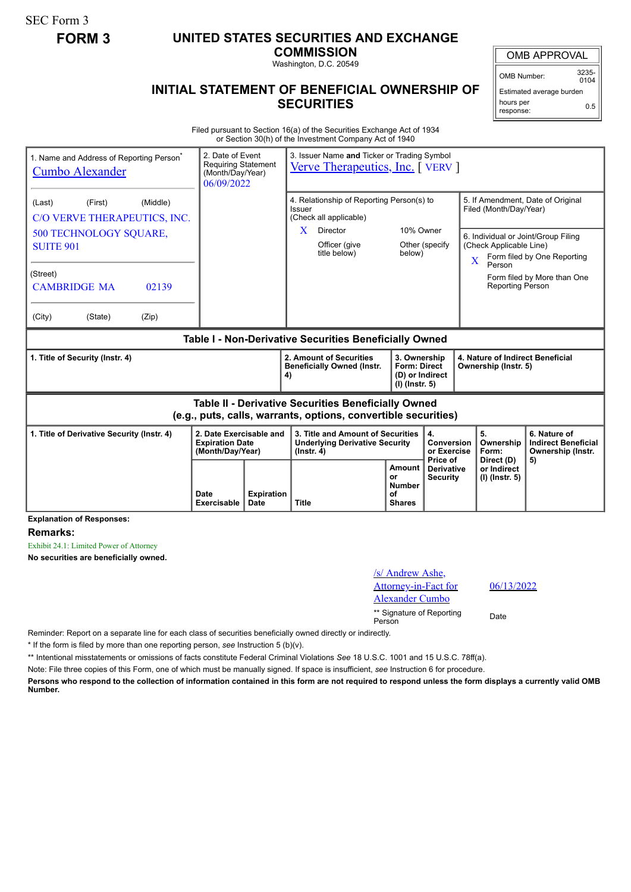SEC Form 3

## **FORM 3 UNITED STATES SECURITIES AND EXCHANGE**

**COMMISSION** Washington, D.C. 20549

## **INITIAL STATEMENT OF BENEFICIAL OWNERSHIP OF SECURITIES**

OMB APPROVAL

OMB Number: 3235-  $0104$ 

Estimated average burden hours per response: 0.5

Filed pursuant to Section 16(a) of the Securities Exchange Act of 1934 or Section 30(h) of the Investment Company Act of 1940

| 1. Name and Address of Reporting Person <sup>®</sup><br><b>Cumbo Alexander</b>                                        | 2. Date of Event<br>Requiring Statement<br>(Month/Day/Year)<br>06/09/2022 |  | 3. Issuer Name and Ticker or Trading Symbol<br>Verve Therapeutics, Inc. [VERV]                       |                     |                                                                          |                                                             |                                                                                                                          |                                            |  |
|-----------------------------------------------------------------------------------------------------------------------|---------------------------------------------------------------------------|--|------------------------------------------------------------------------------------------------------|---------------------|--------------------------------------------------------------------------|-------------------------------------------------------------|--------------------------------------------------------------------------------------------------------------------------|--------------------------------------------|--|
| (First)<br>(Middle)<br>(Last)<br>C/O VERVE THERAPEUTICS, INC.                                                         |                                                                           |  | 4. Relationship of Reporting Person(s) to<br>Issuer<br>(Check all applicable)                        |                     |                                                                          | 5. If Amendment, Date of Original<br>Filed (Month/Day/Year) |                                                                                                                          |                                            |  |
| <b>500 TECHNOLOGY SQUARE,</b><br><b>SUITE 901</b>                                                                     |                                                                           |  | X<br>Director<br>Officer (give<br>title below)                                                       | 10% Owner<br>below) | Other (specify)                                                          |                                                             | 6. Individual or Joint/Group Filing<br>(Check Applicable Line)<br>Form filed by One Reporting<br>$\overline{\mathbf{X}}$ |                                            |  |
| (Street)<br><b>CAMBRIDGE MA</b><br>02139                                                                              |                                                                           |  |                                                                                                      |                     |                                                                          |                                                             | Person<br><b>Reporting Person</b>                                                                                        | Form filed by More than One                |  |
| (Zip)<br>(City)<br>(State)                                                                                            |                                                                           |  |                                                                                                      |                     |                                                                          |                                                             |                                                                                                                          |                                            |  |
| Table I - Non-Derivative Securities Beneficially Owned                                                                |                                                                           |  |                                                                                                      |                     |                                                                          |                                                             |                                                                                                                          |                                            |  |
| 1. Title of Security (Instr. 4)                                                                                       |                                                                           |  | 2. Amount of Securities<br><b>Beneficially Owned (Instr.</b><br>4)                                   |                     | 3. Ownership<br><b>Form: Direct</b><br>(D) or Indirect<br>(I) (Instr. 5) |                                                             | 4. Nature of Indirect Beneficial<br>Ownership (Instr. 5)                                                                 |                                            |  |
| Table II - Derivative Securities Beneficially Owned<br>(e.g., puts, calls, warrants, options, convertible securities) |                                                                           |  |                                                                                                      |                     |                                                                          |                                                             |                                                                                                                          |                                            |  |
| 1. Title of Derivative Security (Instr. 4)<br>2. Date Exercisable and<br><b>Expiration Date</b><br>(Month/Day/Year)   |                                                                           |  | 3. Title and Amount of Securities<br>4.<br><b>Underlying Derivative Security</b><br>$($ lnstr. 4 $)$ |                     | Conversion                                                               |                                                             | 5.<br>Ownership                                                                                                          | 6. Nature of<br><b>Indirect Beneficial</b> |  |
|                                                                                                                       |                                                                           |  |                                                                                                      |                     | or Exercise<br>Price of                                                  |                                                             | Form:<br>Direct (D)                                                                                                      | Ownership (Instr.<br>5)                    |  |

**Explanation of Responses:**

**Remarks:**

Exhibit 24.1: Limited Power of Attorney

**No securities are beneficially owned.**

| /s/ Andrew Ashe,<br>Attorney-in-Fact for<br><b>Alexander Cumbo</b> | 06/1 |
|--------------------------------------------------------------------|------|
| ** Signature of Reporting<br>Person                                | Date |

06/13/2022

Reminder: Report on a separate line for each class of securities beneficially owned directly or indirectly.

\* If the form is filed by more than one reporting person, *see* Instruction 5 (b)(v).

\*\* Intentional misstatements or omissions of facts constitute Federal Criminal Violations *See* 18 U.S.C. 1001 and 15 U.S.C. 78ff(a).

Note: File three copies of this Form, one of which must be manually signed. If space is insufficient, *see* Instruction 6 for procedure.

**Persons who respond to the collection of information contained in this form are not required to respond unless the form displays a currently valid OMB Number.**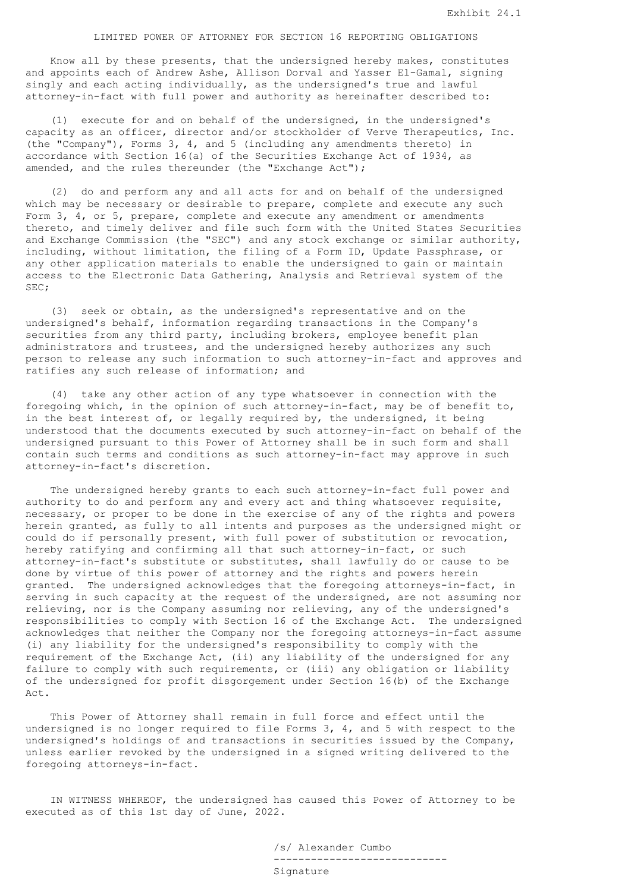## LIMITED POWER OF ATTORNEY FOR SECTION 16 REPORTING OBLIGATIONS

 Know all by these presents, that the undersigned hereby makes, constitutes and appoints each of Andrew Ashe, Allison Dorval and Yasser El-Gamal, signing singly and each acting individually, as the undersigned's true and lawful attorney-in-fact with full power and authority as hereinafter described to:

 (1) execute for and on behalf of the undersigned, in the undersigned's capacity as an officer, director and/or stockholder of Verve Therapeutics, Inc. (the "Company"), Forms 3, 4, and 5 (including any amendments thereto) in accordance with Section 16(a) of the Securities Exchange Act of 1934, as amended, and the rules thereunder (the "Exchange Act");

 (2) do and perform any and all acts for and on behalf of the undersigned which may be necessary or desirable to prepare, complete and execute any such Form 3, 4, or 5, prepare, complete and execute any amendment or amendments thereto, and timely deliver and file such form with the United States Securities and Exchange Commission (the "SEC") and any stock exchange or similar authority, including, without limitation, the filing of a Form ID, Update Passphrase, or any other application materials to enable the undersigned to gain or maintain access to the Electronic Data Gathering, Analysis and Retrieval system of the SEC;

 (3) seek or obtain, as the undersigned's representative and on the undersigned's behalf, information regarding transactions in the Company's securities from any third party, including brokers, employee benefit plan administrators and trustees, and the undersigned hereby authorizes any such person to release any such information to such attorney-in-fact and approves and ratifies any such release of information; and

 (4) take any other action of any type whatsoever in connection with the foregoing which, in the opinion of such attorney-in-fact, may be of benefit to, in the best interest of, or legally required by, the undersigned, it being understood that the documents executed by such attorney-in-fact on behalf of the undersigned pursuant to this Power of Attorney shall be in such form and shall contain such terms and conditions as such attorney-in-fact may approve in such attorney-in-fact's discretion.

 The undersigned hereby grants to each such attorney-in-fact full power and authority to do and perform any and every act and thing whatsoever requisite, necessary, or proper to be done in the exercise of any of the rights and powers herein granted, as fully to all intents and purposes as the undersigned might or could do if personally present, with full power of substitution or revocation, hereby ratifying and confirming all that such attorney-in-fact, or such attorney-in-fact's substitute or substitutes, shall lawfully do or cause to be done by virtue of this power of attorney and the rights and powers herein granted. The undersigned acknowledges that the foregoing attorneys-in-fact, in serving in such capacity at the request of the undersigned, are not assuming nor relieving, nor is the Company assuming nor relieving, any of the undersigned's responsibilities to comply with Section 16 of the Exchange Act. The undersigned acknowledges that neither the Company nor the foregoing attorneys-in-fact assume (i) any liability for the undersigned's responsibility to comply with the requirement of the Exchange Act, (ii) any liability of the undersigned for any failure to comply with such requirements, or (iii) any obligation or liability of the undersigned for profit disgorgement under Section 16(b) of the Exchange Act.

 This Power of Attorney shall remain in full force and effect until the undersigned is no longer required to file Forms 3, 4, and 5 with respect to the undersigned's holdings of and transactions in securities issued by the Company, unless earlier revoked by the undersigned in a signed writing delivered to the foregoing attorneys-in-fact.

 IN WITNESS WHEREOF, the undersigned has caused this Power of Attorney to be executed as of this 1st day of June, 2022.